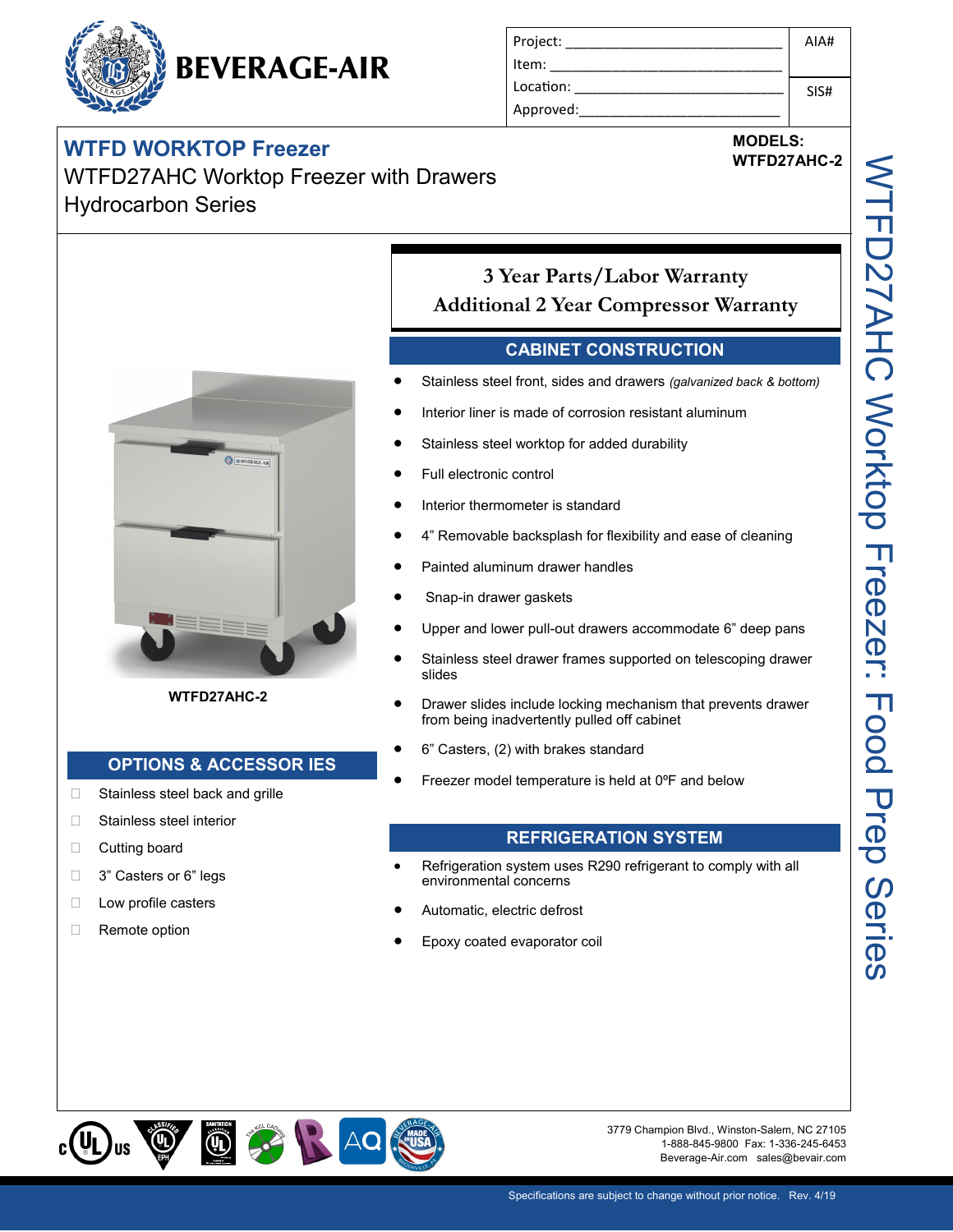## **BEVERAGE-AIR**

#### **WTFD WORKTOP Freezer**

WTFD27AHC Worktop Freezer with Drawers Hydrocarbon Series



**MODELS:**

# **WTFD27AHC-2** WTFD27AHC Worktop Freezer: Food Prep Series **VTFD27AHC Worktop Freezer: Food Prep Series**



**WTFD27AHC-2**

#### **OPTIONS & ACCESSOR IES**

- □ Stainless steel back and grille
- □ Stainless steel interior
- D Cutting board
- □ 3" Casters or 6" legs
- **Low profile casters**
- □ Remote option

#### **3 Year Parts/Labor Warranty Additional 2 Year Compressor Warranty**

#### **CABINET CONSTRUCTION**

- Stainless steel front, sides and drawers *(galvanized back & bottom)*
- Interior liner is made of corrosion resistant aluminum
- Stainless steel worktop for added durability
- Full electronic control
- Interior thermometer is standard
- 4" Removable backsplash for flexibility and ease of cleaning
- Painted aluminum drawer handles
- Snap-in drawer gaskets
- Upper and lower pull-out drawers accommodate 6" deep pans
- Stainless steel drawer frames supported on telescoping drawer slides
- Drawer slides include locking mechanism that prevents drawer from being inadvertently pulled off cabinet
- 6" Casters, (2) with brakes standard
- Freezer model temperature is held at 0ºF and below

#### **REFRIGERATION SYSTEM**

- Refrigeration system uses R290 refrigerant to comply with all environmental concerns
- Automatic, electric defrost
- Epoxy coated evaporator coil



3779 Champion Blvd., Winston-Salem, NC 27105 1-888-845-9800 Fax: 1-336-245-6453 Beverage-Air.com sales@bevair.com